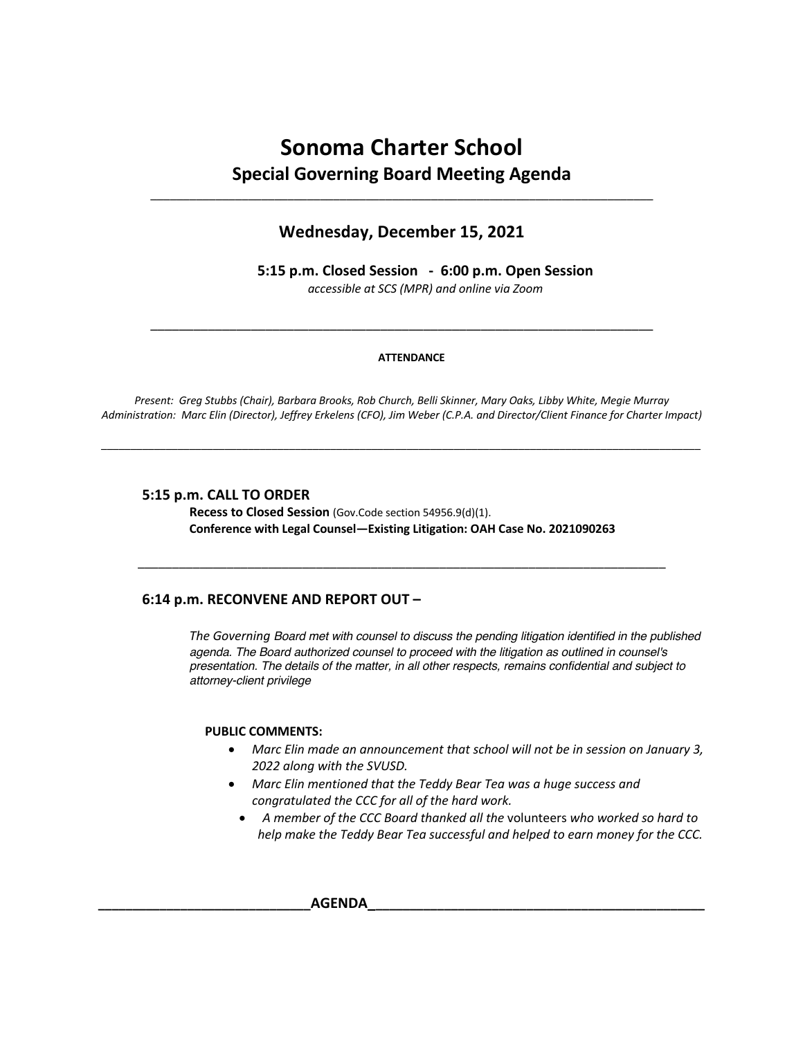# **Sonoma Charter School Special Governing Board Meeting Agenda**

\_\_\_\_\_\_\_\_\_\_\_\_\_\_\_\_\_\_\_\_\_\_\_\_\_\_\_\_\_\_\_\_\_\_\_\_\_\_\_\_\_\_\_\_\_\_\_\_\_\_\_\_\_\_\_\_\_\_\_\_\_\_\_\_\_\_\_\_\_\_\_\_\_\_\_\_\_

# **Wednesday, December 15, 2021**

**5:15 p.m. Closed Session - 6:00 p.m. Open Session** *accessible at SCS (MPR) and online via Zoom*

#### **ATTENDANCE**

\_\_\_\_\_\_\_\_\_\_\_\_\_\_\_\_\_\_\_\_\_\_\_\_\_\_\_\_\_\_\_\_\_\_\_\_\_\_\_\_\_\_\_\_\_\_\_\_\_\_\_\_\_\_\_\_\_\_\_\_\_\_\_\_\_\_\_\_\_\_

*Present: Greg Stubbs (Chair), Barbara Brooks, Rob Church, Belli Skinner, Mary Oaks, Libby White, Megie Murray Administration: Marc Elin (Director), Jeffrey Erkelens (CFO), Jim Weber (C.P.A. and Director/Client Finance for Charter Impact)*

*\_\_\_\_\_\_\_\_\_\_\_\_\_\_\_\_\_\_\_\_\_\_\_\_\_\_\_\_\_\_\_\_\_\_\_\_\_\_\_\_\_\_\_\_\_\_\_\_\_\_\_\_\_\_\_\_\_\_\_\_\_\_\_\_\_\_\_\_\_\_\_\_\_\_\_\_\_\_\_\_\_\_\_\_\_\_\_\_\_\_\_\_\_\_\_\_\_\_\_\_\_\_*

# **5:15 p.m. CALL TO ORDER**

**Recess to Closed Session** (Gov.Code section 54956.9(d)(1). **Conference with Legal Counsel—Existing Litigation: OAH Case No. 2021090263**

\_\_\_\_\_\_\_\_\_\_\_\_\_\_\_\_\_\_\_\_\_\_\_\_\_\_\_\_\_\_\_\_\_\_\_\_\_\_\_\_\_\_\_\_\_\_\_\_\_\_\_\_\_\_\_\_\_\_\_\_\_\_\_\_\_\_\_\_\_\_\_\_\_\_\_\_\_

## **6:14 p.m. RECONVENE AND REPORT OUT –**

*The Governing Board met with counsel to discuss the pending litigation identified in the published agenda. The Board authorized counsel to proceed with the litigation as outlined in counsel's presentation. The details of the matter, in all other respects, remains confidential and subject to attorney-client privilege*

#### **PUBLIC COMMENTS:**

- *Marc Elin made an announcement that school will not be in session on January 3, 2022 along with the SVUSD.*
- *Marc Elin mentioned that the Teddy Bear Tea was a huge success and congratulated the CCC for all of the hard work.*
	- *A member of the CCC Board thanked all the* volunteers *who worked so hard to help make the Teddy Bear Tea successful and helped to earn money for the CCC.*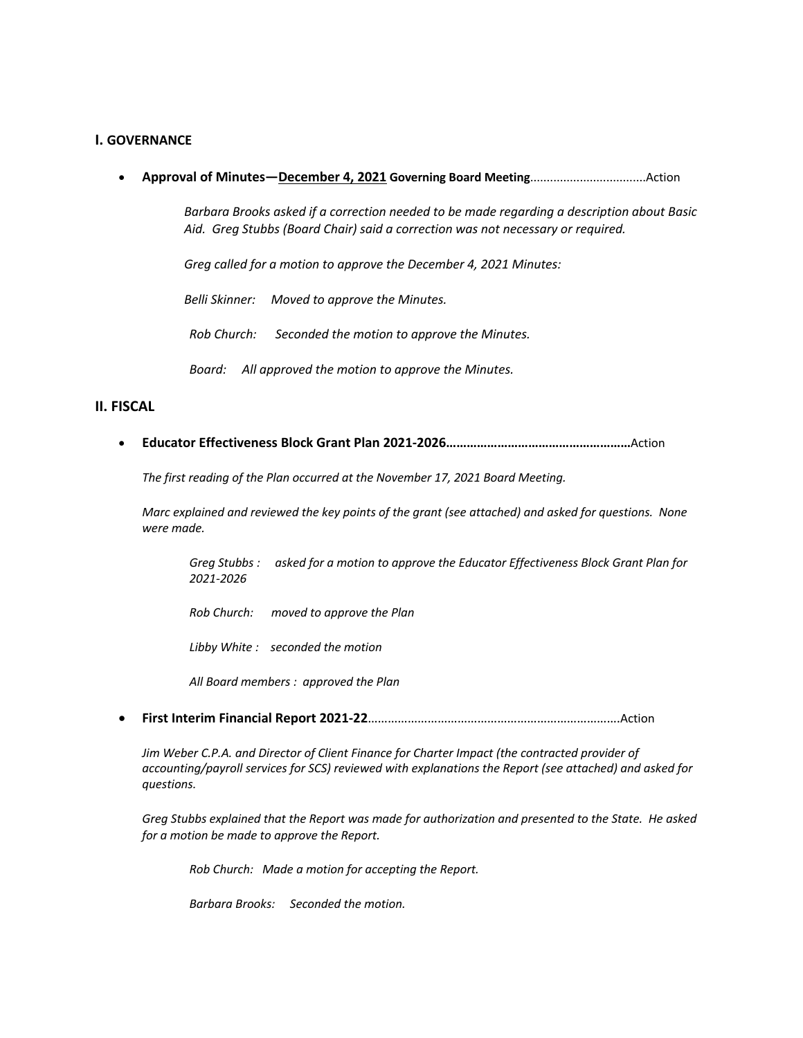# **I. GOVERNANCE**

• **Approval of Minutes—December 4, 2021 Governing Board Meeting**...................................Action

*Barbara Brooks asked if a correction needed to be made regarding a description about Basic Aid. Greg Stubbs (Board Chair) said a correction was not necessary or required.* 

*Greg called for a motion to approve the December 4, 2021 Minutes:*

*Belli Skinner: Moved to approve the Minutes.*

*Rob Church: Seconded the motion to approve the Minutes.*

*Board: All approved the motion to approve the Minutes.*

## **II. FISCAL**

• **Educator Effectiveness Block Grant Plan 2021-2026………………………………………………**Action

*The first reading of the Plan occurred at the November 17, 2021 Board Meeting.*

*Marc explained and reviewed the key points of the grant (see attached) and asked for questions. None were made.*

*Greg Stubbs : asked for a motion to approve the Educator Effectiveness Block Grant Plan for 2021-2026*

*Rob Church: moved to approve the Plan*

*Libby White : seconded the motion*

*All Board members : approved the Plan*

• **First Interim Financial Report 2021-22**………………………………………………………………….Action

*Jim Weber C.P.A. and Director of Client Finance for Charter Impact (the contracted provider of accounting/payroll services for SCS) reviewed with explanations the Report (see attached) and asked for questions.*

*Greg Stubbs explained that the Report was made for authorization and presented to the State. He asked for a motion be made to approve the Report.*

*Rob Church: Made a motion for accepting the Report.*

*Barbara Brooks: Seconded the motion.*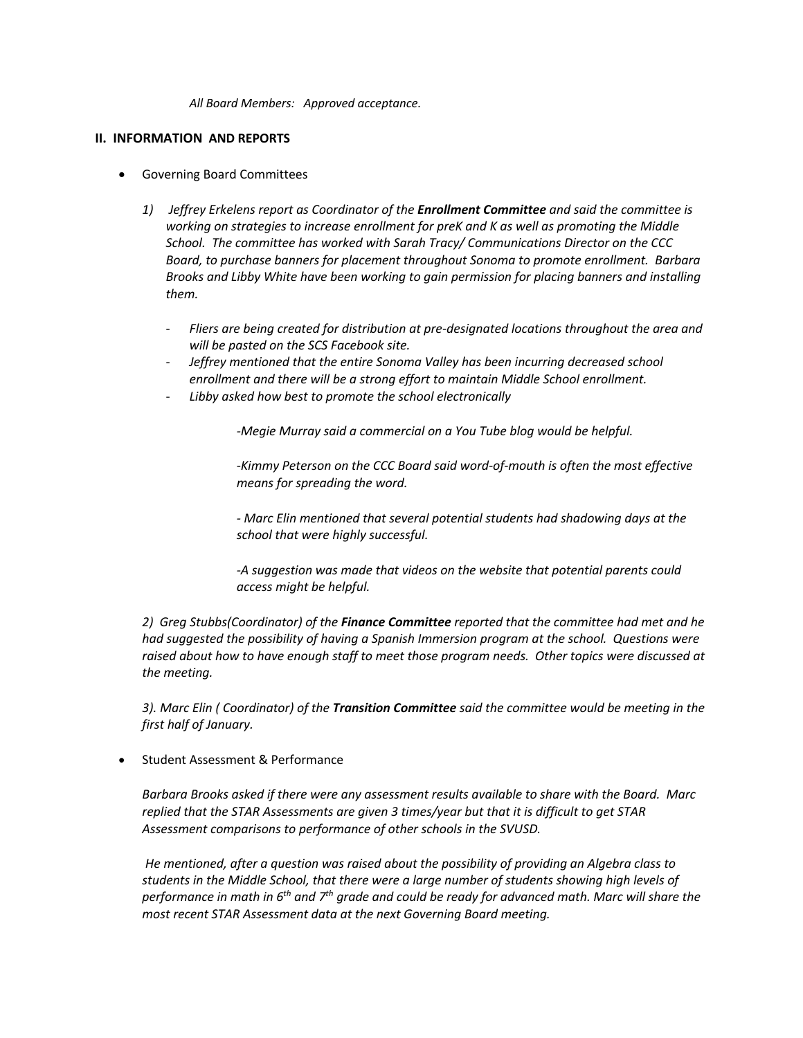*All Board Members: Approved acceptance.*

# **II. INFORMATION AND REPORTS**

- Governing Board Committees
	- *1) Jeffrey Erkelens report as Coordinator of the Enrollment Committee and said the committee is working on strategies to increase enrollment for preK and K as well as promoting the Middle School. The committee has worked with Sarah Tracy/ Communications Director on the CCC Board, to purchase banners for placement throughout Sonoma to promote enrollment. Barbara Brooks and Libby White have been working to gain permission for placing banners and installing them.*
		- *Fliers are being created for distribution at pre-designated locations throughout the area and will be pasted on the SCS Facebook site.*
		- *Jeffrey mentioned that the entire Sonoma Valley has been incurring decreased school enrollment and there will be a strong effort to maintain Middle School enrollment.*
		- *Libby asked how best to promote the school electronically*

*-Megie Murray said a commercial on a You Tube blog would be helpful.*

*-Kimmy Peterson on the CCC Board said word-of-mouth is often the most effective means for spreading the word.*

*- Marc Elin mentioned that several potential students had shadowing days at the school that were highly successful.*

*-A suggestion was made that videos on the website that potential parents could access might be helpful.*

*2) Greg Stubbs(Coordinator) of the Finance Committee reported that the committee had met and he had suggested the possibility of having a Spanish Immersion program at the school. Questions were raised about how to have enough staff to meet those program needs. Other topics were discussed at the meeting.*

*3). Marc Elin ( Coordinator) of the Transition Committee said the committee would be meeting in the first half of January.*

• Student Assessment & Performance

*Barbara Brooks asked if there were any assessment results available to share with the Board. Marc replied that the STAR Assessments are given 3 times/year but that it is difficult to get STAR Assessment comparisons to performance of other schools in the SVUSD.* 

*He mentioned, after a question was raised about the possibility of providing an Algebra class to students in the Middle School, that there were a large number of students showing high levels of performance in math in 6th and 7th grade and could be ready for advanced math. Marc will share the most recent STAR Assessment data at the next Governing Board meeting.*